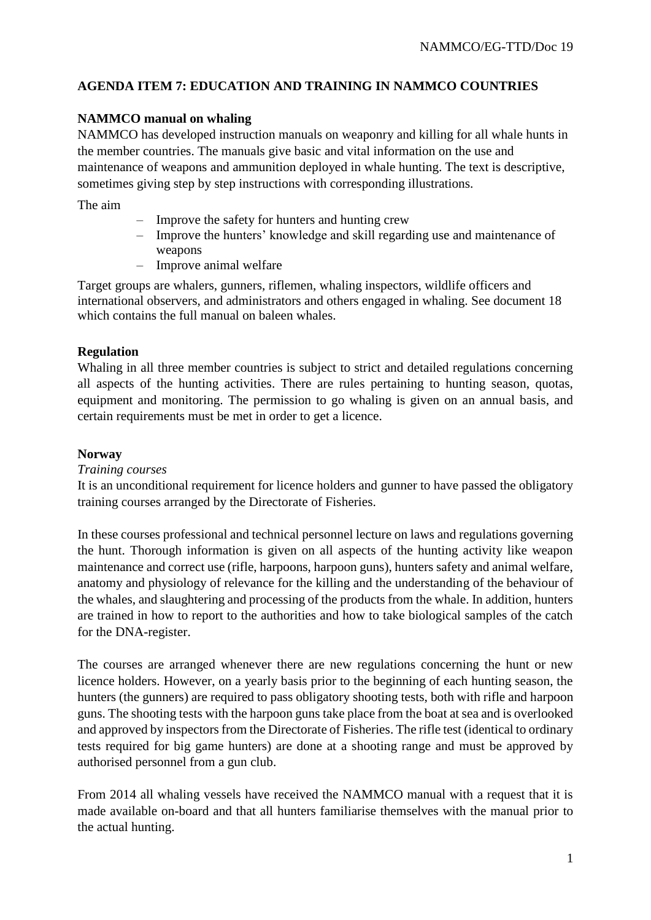# **AGENDA ITEM 7: EDUCATION AND TRAINING IN NAMMCO COUNTRIES**

# **NAMMCO manual on whaling**

NAMMCO has developed instruction manuals on weaponry and killing for all whale hunts in the member countries. The manuals give basic and vital information on the use and maintenance of weapons and ammunition deployed in whale hunting. The text is descriptive, sometimes giving step by step instructions with corresponding illustrations.

The aim

- Improve the safety for hunters and hunting crew
- Improve the hunters' knowledge and skill regarding use and maintenance of weapons
- Improve animal welfare

Target groups are whalers, gunners, riflemen, whaling inspectors, wildlife officers and international observers, and administrators and others engaged in whaling. See document 18 which contains the full manual on baleen whales.

# **Regulation**

Whaling in all three member countries is subject to strict and detailed regulations concerning all aspects of the hunting activities. There are rules pertaining to hunting season, quotas, equipment and monitoring. The permission to go whaling is given on an annual basis, and certain requirements must be met in order to get a licence.

### **Norway**

#### *Training courses*

It is an unconditional requirement for licence holders and gunner to have passed the obligatory training courses arranged by the Directorate of Fisheries.

In these courses professional and technical personnel lecture on laws and regulations governing the hunt. Thorough information is given on all aspects of the hunting activity like weapon maintenance and correct use (rifle, harpoons, harpoon guns), hunters safety and animal welfare, anatomy and physiology of relevance for the killing and the understanding of the behaviour of the whales, and slaughtering and processing of the products from the whale. In addition, hunters are trained in how to report to the authorities and how to take biological samples of the catch for the DNA-register.

The courses are arranged whenever there are new regulations concerning the hunt or new licence holders. However, on a yearly basis prior to the beginning of each hunting season, the hunters (the gunners) are required to pass obligatory shooting tests, both with rifle and harpoon guns. The shooting tests with the harpoon guns take place from the boat at sea and is overlooked and approved by inspectors from the Directorate of Fisheries. The rifle test (identical to ordinary tests required for big game hunters) are done at a shooting range and must be approved by authorised personnel from a gun club.

From 2014 all whaling vessels have received the NAMMCO manual with a request that it is made available on-board and that all hunters familiarise themselves with the manual prior to the actual hunting.